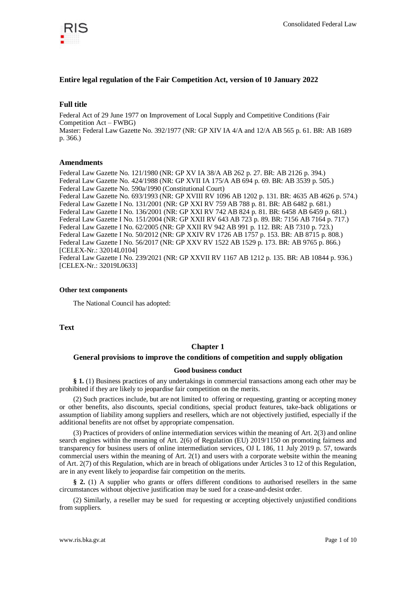

# **Entire legal regulation of the Fair Competition Act, version of 10 January 2022**

# **Full title**

Federal Act of 29 June 1977 on Improvement of Local Supply and Competitive Conditions (Fair Competition Act – FWBG) Master: Federal Law Gazette No. 392/1977 (NR: GP XIV IA 4/A and 12/A AB 565 p. 61. BR: AB 1689 p. 366.)

# **Amendments**

Federal Law Gazette No. 121/1980 (NR: GP XV IA 38/A AB 262 p. 27. BR: AB 2126 p. 394.) Federal Law Gazette No. 424/1988 (NR: GP XVII IA 175/A AB 694 p. 69. BR: AB 3539 p. 505.) Federal Law Gazette No. 590a/1990 (Constitutional Court) Federal Law Gazette No. 693/1993 (NR: GP XVIII RV 1096 AB 1202 p. 131. BR: 4635 AB 4626 p. 574.) Federal Law Gazette I No. 131/2001 (NR: GP XXI RV 759 AB 788 p. 81. BR: AB 6482 p. 681.) Federal Law Gazette I No. 136/2001 (NR: GP XXI RV 742 AB 824 p. 81. BR: 6458 AB 6459 p. 681.) Federal Law Gazette I No. 151/2004 (NR: GP XXII RV 643 AB 723 p. 89. BR: 7156 AB 7164 p. 717.) Federal Law Gazette I No. 62/2005 (NR: GP XXII RV 942 AB 991 p. 112. BR: AB 7310 p. 723.) Federal Law Gazette I No. 50/2012 (NR: GP XXIV RV 1726 AB 1757 p. 153. BR: AB 8715 p. 808.) Federal Law Gazette I No. 56/2017 (NR: GP XXV RV 1522 AB 1529 p. 173. BR: AB 9765 p. 866.) [CELEX-Nr.: 32014L0104] Federal Law Gazette I No. 239/2021 (NR: GP XXVII RV 1167 AB 1212 p. 135. BR: AB 10844 p. 936.) [CELEX-Nr.: 32019L0633]

## **Other text components**

The National Council has adopted:

**Text**

# **Chapter 1**

# **General provisions to improve the conditions of competition and supply obligation**

## **Good business conduct**

**§ 1.** (1) Business practices of any undertakings in commercial transactions among each other may be prohibited if they are likely to jeopardise fair competition on the merits.

(2) Such practices include, but are not limited to offering or requesting, granting or accepting money or other benefits, also discounts, special conditions, special product features, take-back obligations or assumption of liability among suppliers and resellers, which are not objectively justified, especially if the additional benefits are not offset by appropriate compensation.

(3) Practices of providers of online intermediation services within the meaning of Art. 2(3) and online search engines within the meaning of Art. 2(6) of Regulation (EU) 2019/1150 on promoting fairness and transparency for business users of online intermediation services, OJ L 186, 11 July 2019 p. 57, towards commercial users within the meaning of Art. 2(1) and users with a corporate website within the meaning of Art. 2(7) of this Regulation, which are in breach of obligations under Articles 3 to 12 of this Regulation, are in any event likely to jeopardise fair competition on the merits.

**§ 2.** (1) A supplier who grants or offers different conditions to authorised resellers in the same circumstances without objective justification may be sued for a cease-and-desist order.

(2) Similarly, a reseller may be sued for requesting or accepting objectively unjustified conditions from suppliers.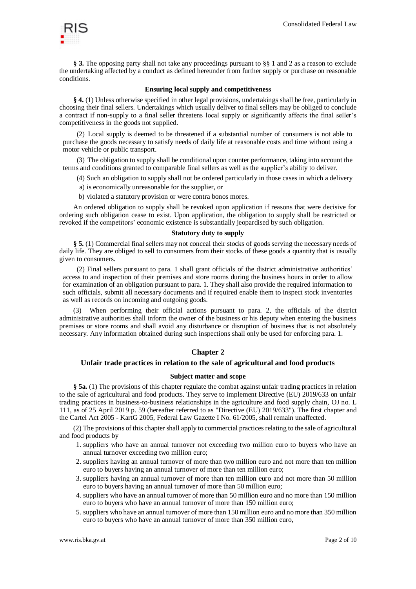

§ 3. The opposing party shall not take any proceedings pursuant to §§ 1 and 2 as a reason to exclude the undertaking affected by a conduct as defined hereunder from further supply or purchase on reasonable conditions.

## **Ensuring local supply and competitiveness**

**§ 4.** (1) Unless otherwise specified in other legal provisions, undertakings shall be free, particularly in choosing their final sellers. Undertakings which usually deliver to final sellers may be obliged to conclude a contract if non-supply to a final seller threatens local supply or significantly affects the final seller's competitiveness in the goods not supplied.

(2) Local supply is deemed to be threatened if a substantial number of consumers is not able to purchase the goods necessary to satisfy needs of daily life at reasonable costs and time without using a motor vehicle or public transport.

(3) The obligation to supply shall be conditional upon counter performance, taking into account the terms and conditions granted to comparable final sellers as well as the supplier's ability to deliver.

(4) Such an obligation to supply shall not be ordered particularly in those cases in which a delivery

- a) is economically unreasonable for the supplier, or
- b) violated a statutory provision or were contra bonos mores.

An ordered obligation to supply shall be revoked upon application if reasons that were decisive for ordering such obligation cease to exist. Upon application, the obligation to supply shall be restricted or revoked if the competitors' economic existence is substantially jeopardised by such obligation.

## **Statutory duty to supply**

**§ 5.** (1) Commercial final sellers may not conceal their stocks of goods serving the necessary needs of daily life. They are obliged to sell to consumers from their stocks of these goods a quantity that is usually given to consumers.

(2) Final sellers pursuant to para. 1 shall grant officials of the district administrative authorities' access to and inspection of their premises and store rooms during the business hours in order to allow for examination of an obligation pursuant to para. 1. They shall also provide the required information to such officials, submit all necessary documents and if required enable them to inspect stock inventories as well as records on incoming and outgoing goods.

When performing their official actions pursuant to para. 2, the officials of the district administrative authorities shall inform the owner of the business or his deputy when entering the business premises or store rooms and shall avoid any disturbance or disruption of business that is not absolutely necessary. Any information obtained during such inspections shall only be used for enforcing para. 1.

#### **Chapter 2**

## **Unfair trade practices in relation to the sale of agricultural and food products**

#### **Subject matter and scope**

**§ 5a.** (1) The provisions of this chapter regulate the combat against unfair trading practices in relation to the sale of agricultural and food products. They serve to implement Directive (EU) 2019/633 on unfair trading practices in business-to-business relationships in the agriculture and food supply chain, OJ no. L 111, as of 25 April 2019 p. 59 (hereafter referred to as "Directive (EU) 2019/633"). The first chapter and the Cartel Act 2005 - KartG 2005, Federal Law Gazette I No. 61/2005, shall remain unaffected.

(2) The provisions of this chapter shall apply to commercial practices relating to the sale of agricultural and food products by

- 1. suppliers who have an annual turnover not exceeding two million euro to buyers who have an annual turnover exceeding two million euro;
- 2. suppliers having an annual turnover of more than two million euro and not more than ten million euro to buyers having an annual turnover of more than ten million euro;
- 3. suppliers having an annual turnover of more than ten million euro and not more than 50 million euro to buyers having an annual turnover of more than 50 million euro;
- 4. suppliers who have an annual turnover of more than 50 million euro and no more than 150 million euro to buyers who have an annual turnover of more than 150 million euro;
- 5. suppliers who have an annual turnover of more than 150 million euro and no more than 350 million euro to buyers who have an annual turnover of more than 350 million euro,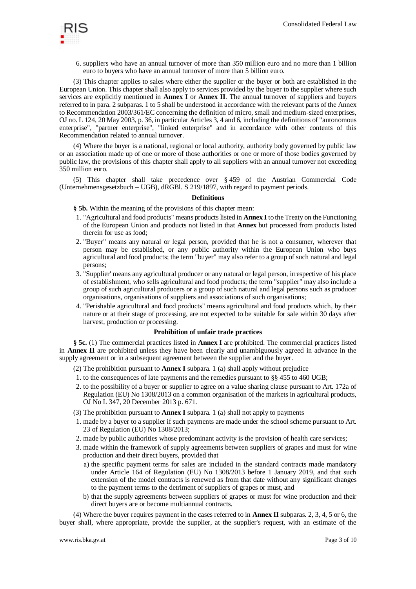

6. suppliers who have an annual turnover of more than 350 million euro and no more than 1 billion euro to buyers who have an annual turnover of more than 5 billion euro.

(3) This chapter applies to sales where either the supplier or the buyer or both are established in the European Union. This chapter shall also apply to services provided by the buyer to the supplier where such services are explicitly mentioned in **Annex I** or **Annex II**. The annual turnover of suppliers and buyers referred to in para. 2 subparas. 1 to 5 shall be understood in accordance with the relevant parts of the Annex to Recommendation 2003/361/EC concerning the definition of micro, small and medium-sized enterprises, OJ no. L 124, 20 May 2003, p. 36, in particular Articles 3, 4 and 6, including the definitions of "autonomous enterprise", "partner enterprise", "linked enterprise" and in accordance with other contents of this Recommendation related to annual turnover.

(4) Where the buyer is a national, regional or local authority, authority body governed by public law or an association made up of one or more of those authorities or one or more of those bodies governed by public law, the provisions of this chapter shall apply to all suppliers with an annual turnover not exceeding 350 million euro.

(5) This chapter shall take precedence over § 459 of the Austrian Commercial Code (Unternehmensgesetzbuch – UGB), dRGBl. S 219/1897, with regard to payment periods.

#### **Definitions**

**§ 5b.** Within the meaning of the provisions of this chapter mean:

- 1. "Agricultural and food products" means products listed in **Annex I** to the Treaty on the Functioning of the European Union and products not listed in that **Annex** but processed from products listed therein for use as food;
- 2. "Buyer" means any natural or legal person, provided that he is not a consumer, wherever that person may be established, or any public authority within the European Union who buys agricultural and food products; the term "buyer" may also refer to a group of such natural and legal persons;
- 3. "Supplier' means any agricultural producer or any natural or legal person, irrespective of his place of establishment, who sells agricultural and food products; the term "supplier" may also include a group of such agricultural producers or a group of such natural and legal persons such as producer organisations, organisations of suppliers and associations of such organisations;
- 4. "Perishable agricultural and food products" means agricultural and food products which, by their nature or at their stage of processing, are not expected to be suitable for sale within 30 days after harvest, production or processing.

# **Prohibition of unfair trade practices**

**§ 5c.** (1) The commercial practices listed in **Annex I** are prohibited. The commercial practices listed in **Annex II** are prohibited unless they have been clearly and unambiguously agreed in advance in the supply agreement or in a subsequent agreement between the supplier and the buyer.

(2) The prohibition pursuant to **Annex I** subpara. 1 (a) shall apply without prejudice

- 1. to the consequences of late payments and the remedies pursuant to §§ 455 to 460 UGB;
- 2. to the possibility of a buyer or supplier to agree on a value sharing clause pursuant to Art. 172a of Regulation (EU) No 1308/2013 on a common organisation of the markets in agricultural products, OJ No L 347, 20 December 2013 p. 671.
- (3) The prohibition pursuant to **Annex I** subpara. 1 (a) shall not apply to payments
- 1. made by a buyer to a supplier if such payments are made under the school scheme pursuant to Art. 23 of Regulation (EU) No 1308/2013;
- 2. made by public authorities whose predominant activity is the provision of health care services;
- 3. made within the framework of supply agreements between suppliers of grapes and must for wine production and their direct buyers, provided that
	- a) the specific payment terms for sales are included in the standard contracts made mandatory under Article 164 of Regulation (EU) No 1308/2013 before 1 January 2019, and that such extension of the model contracts is renewed as from that date without any significant changes to the payment terms to the detriment of suppliers of grapes or must, and
	- b) that the supply agreements between suppliers of grapes or must for wine production and their direct buyers are or become multiannual contracts.

(4) Where the buyer requires payment in the cases referred to in **Annex II** subparas. 2, 3, 4, 5 or 6, the buyer shall, where appropriate, provide the supplier, at the supplier's request, with an estimate of the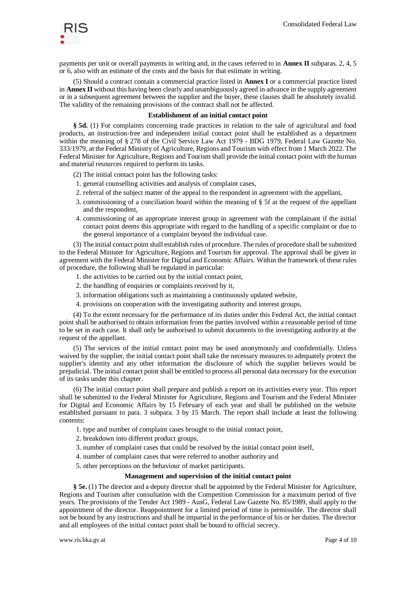

payments per unit or overall payments in writing and, in the cases referred to in **Annex II** subparas. 2, 4, 5 or 6, also with an estimate of the costs and the basis for that estimate in writing.

(5) Should a contract contain a commercial practice listed in **Annex I** or a commercial practice listed in **Annex II** without this having been clearly and unambiguously agreed in advance in the supply agreement or in a subsequent agreement between the supplier and the buyer, these clauses shall be absolutely invalid. The validity of the remaining provisions of the contract shall not be affected.

### **Establishment of an initial contact point**

**§ 5d.** (1) For complaints concerning trade practices in relation to the sale of agricultural and food products, an instruction-free and independent initial contact point shall be established as a department within the meaning of § 278 of the Civil Service Law Act 1979 - BDG 1979, Federal Law Gazette No. 333/1979, at the Federal Ministry of Agriculture, Regions and Tourism with effect from 1 March 2022. The Federal Minister for Agriculture, Regions and Tourism shall provide the initial contact point with the human and material resources required to perform its tasks.

- (2) The initial contact point has the following tasks:
- 1. general counselling activities and analysis of complaint cases,
- 2. referral of the subject matter of the appeal to the respondent in agreement with the appellant,
- 3. commissioning of a conciliation board within the meaning of § 5f at the request of the appellant and the respondent,
- 4. commissioning of an appropriate interest group in agreement with the complainant if the initial contact point deems this appropriate with regard to the handling of a specific complaint or due to the general importance of a complaint beyond the individual case.

(3) The initial contact point shall establish rules of procedure. The rules of procedure shall be submitted to the Federal Minister for Agriculture, Regions and Tourism for approval. The approval shall be given in agreement with the Federal Minister for Digital and Economic Affairs. Within the framework of these rules of procedure, the following shall be regulated in particular:

- 1. the activities to be carried out by the initial contact point,
- 2. the handling of enquiries or complaints received by it,
- 3. information obligations such as maintaining a continuously updated website,
- 4. provisions on cooperation with the investigating authority and interest groups,

(4) To the extent necessary for the performance of its duties under this Federal Act, the initial contact point shall be authorised to obtain information from the parties involved within a reasonable period of time to be set in each case. It shall only be authorised to submit documents to the investigating authority at the request of the appellant.

(5) The services of the initial contact point may be used anonymously and confidentially. Unless waived by the supplier, the initial contact point shall take the necessary measures to adequately protect the supplier's identity and any other information the disclosure of which the supplier believes would be prejudicial. The initial contact point shall be entitled to process all personal data necessary for the execution of its tasks under this chapter.

(6) The initial contact point shall prepare and publish a report on its activities every year. This report shall be submitted to the Federal Minister for Agriculture, Regions and Tourism and the Federal Minister for Digital and Economic Affairs by 15 February of each year and shall be published on the website established pursuant to para. 3 subpara. 3 by 15 March. The report shall include at least the following contents:

- 1. type and number of complaint cases brought to the initial contact point,
- 2. breakdown into different product groups,
- 3. number of complaint cases that could be resolved by the initial contact point itself,
- 4. number of complaint cases that were referred to another authority and
- 5. other perceptions on the behaviour of market participants.

#### **Management and supervision of the initial contact point**

**§ 5e.** (1) The director and a deputy director shall be appointed by the Federal Minister for Agriculture, Regions and Tourism after consultation with the Competition Commission for a maximum period of five years. The provisions of the Tender Act 1989 - AusG, Federal Law Gazette No. 85/1989, shall apply to the appointment of the director. Reappointment for a limited period of time is permissible. The director shall not be bound by any instructions and shall be impartial in the performance of his or her duties. The director and all employees of the initial contact point shall be bound to official secrecy.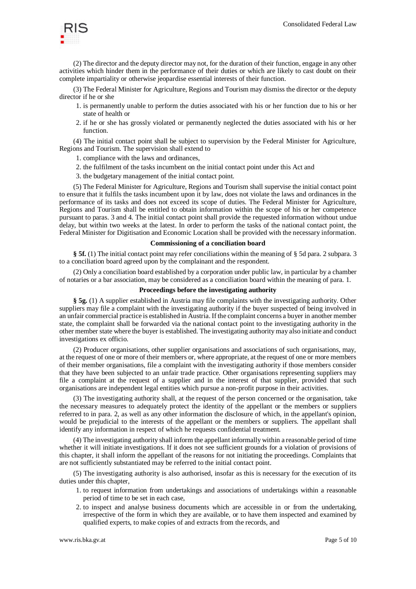

(2) The director and the deputy director may not, for the duration of their function, engage in any other activities which hinder them in the performance of their duties or which are likely to cast doubt on their complete impartiality or otherwise jeopardise essential interests of their function.

(3) The Federal Minister for Agriculture, Regions and Tourism may dismiss the director or the deputy director if he or she

- 1. is permanently unable to perform the duties associated with his or her function due to his or her state of health or
- 2. if he or she has grossly violated or permanently neglected the duties associated with his or her function.

(4) The initial contact point shall be subject to supervision by the Federal Minister for Agriculture, Regions and Tourism. The supervision shall extend to

1. compliance with the laws and ordinances,

- 2. the fulfilment of the tasks incumbent on the initial contact point under this Act and
- 3. the budgetary management of the initial contact point.

(5) The Federal Minister for Agriculture, Regions and Tourism shall supervise the initial contact point to ensure that it fulfils the tasks incumbent upon it by law, does not violate the laws and ordinances in the performance of its tasks and does not exceed its scope of duties. The Federal Minister for Agriculture, Regions and Tourism shall be entitled to obtain information within the scope of his or her competence pursuant to paras. 3 and 4. The initial contact point shall provide the requested information without undue delay, but within two weeks at the latest. In order to perform the tasks of the national contact point, the Federal Minister for Digitisation and Economic Location shall be provided with the necessary information.

### **Commissioning of a conciliation board**

**§ 5f.** (1) The initial contact point may refer conciliations within the meaning of § 5d para. 2 subpara. 3 to a conciliation board agreed upon by the complainant and the respondent.

(2) Only a conciliation board established by a corporation under public law, in particular by a chamber of notaries or a bar association, may be considered as a conciliation board within the meaning of para. 1.

### **Proceedings before the investigating authority**

**§ 5g.** (1) A supplier established in Austria may file complaints with the investigating authority. Other suppliers may file a complaint with the investigating authority if the buyer suspected of being involved in an unfair commercial practice is established in Austria. If the complaint concerns a buyer in another member state, the complaint shall be forwarded via the national contact point to the investigating authority in the other member state where the buyer is established. The investigating authority may also initiate and conduct investigations ex officio.

(2) Producer organisations, other supplier organisations and associations of such organisations, may, at the request of one or more of their members or, where appropriate, at the request of one or more members of their member organisations, file a complaint with the investigating authority if those members consider that they have been subjected to an unfair trade practice. Other organisations representing suppliers may file a complaint at the request of a supplier and in the interest of that supplier, provided that such organisations are independent legal entities which pursue a non-profit purpose in their activities.

(3) The investigating authority shall, at the request of the person concerned or the organisation, take the necessary measures to adequately protect the identity of the appellant or the members or suppliers referred to in para. 2, as well as any other information the disclosure of which, in the appellant's opinion, would be prejudicial to the interests of the appellant or the members or suppliers. The appellant shall identify any information in respect of which he requests confidential treatment.

(4) The investigating authority shall inform the appellant informally within a reasonable period of time whether it will initiate investigations. If it does not see sufficient grounds for a violation of provisions of this chapter, it shall inform the appellant of the reasons for not initiating the proceedings. Complaints that are not sufficiently substantiated may be referred to the initial contact point.

(5) The investigating authority is also authorised, insofar as this is necessary for the execution of its duties under this chapter,

- 1. to request information from undertakings and associations of undertakings within a reasonable period of time to be set in each case,
- 2. to inspect and analyse business documents which are accessible in or from the undertaking, irrespective of the form in which they are available, or to have them inspected and examined by qualified experts, to make copies of and extracts from the records, and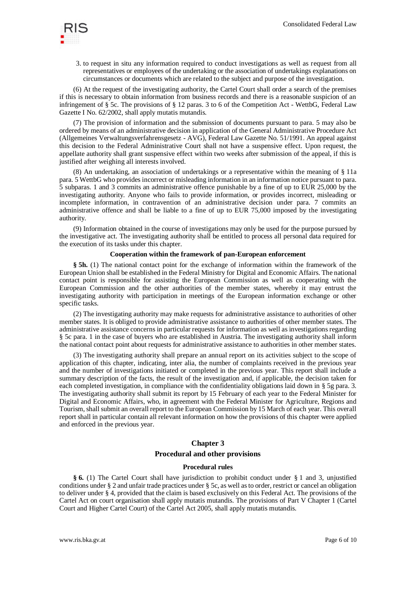

3. to request in situ any information required to conduct investigations as well as request from all representatives or employees of the undertaking or the association of undertakings explanations on circumstances or documents which are related to the subject and purpose of the investigation.

(6) At the request of the investigating authority, the Cartel Court shall order a search of the premises if this is necessary to obtain information from business records and there is a reasonable suspicion of an infringement of § 5c. The provisions of § 12 paras. 3 to 6 of the Competition Act - WettbG, Federal Law Gazette I No. 62/2002, shall apply mutatis mutandis.

(7) The provision of information and the submission of documents pursuant to para. 5 may also be ordered by means of an administrative decision in application of the General Administrative Procedure Act (Allgemeines Verwaltungsverfahrensgesetz - AVG), Federal Law Gazette No. 51/1991. An appeal against this decision to the Federal Administrative Court shall not have a suspensive effect. Upon request, the appellate authority shall grant suspensive effect within two weeks after submission of the appeal, if this is justified after weighing all interests involved.

(8) An undertaking, an association of undertakings or a representative within the meaning of § 11a para. 5 WettbG who provides incorrect or misleading information in an information notice pursuant to para. 5 subparas. 1 and 3 commits an administrative offence punishable by a fine of up to EUR 25,000 by the investigating authority. Anyone who fails to provide information, or provides incorrect, misleading or incomplete information, in contravention of an administrative decision under para. 7 commits an administrative offence and shall be liable to a fine of up to EUR 75,000 imposed by the investigating authority.

(9) Information obtained in the course of investigations may only be used for the purpose pursued by the investigative act. The investigating authority shall be entitled to process all personal data required for the execution of its tasks under this chapter.

#### **Cooperation within the framework of pan-European enforcement**

**§ 5h.** (1) The national contact point for the exchange of information within the framework of the European Union shall be established in the Federal Ministry for Digital and Economic Affairs. The national contact point is responsible for assisting the European Commission as well as cooperating with the European Commission and the other authorities of the member states, whereby it may entrust the investigating authority with participation in meetings of the European information exchange or other specific tasks.

(2) The investigating authority may make requests for administrative assistance to authorities of other member states. It is obliged to provide administrative assistance to authorities of other member states. The administrative assistance concerns in particular requests for information as well as investigations regarding § 5c para. 1 in the case of buyers who are established in Austria. The investigating authority shall inform the national contact point about requests for administrative assistance to authorities in other member states.

(3) The investigating authority shall prepare an annual report on its activities subject to the scope of application of this chapter, indicating, inter alia, the number of complaints received in the previous year and the number of investigations initiated or completed in the previous year. This report shall include a summary description of the facts, the result of the investigation and, if applicable, the decision taken for each completed investigation, in compliance with the confidentiality obligations laid down in § 5g para. 3. The investigating authority shall submit its report by 15 February of each year to the Federal Minister for Digital and Economic Affairs, who, in agreement with the Federal Minister for Agriculture, Regions and Tourism, shall submit an overall report to the European Commission by 15 March of each year. This overall report shall in particular contain all relevant information on how the provisions of this chapter were applied and enforced in the previous year.

## **Chapter 3**

## **Procedural and other provisions**

## **Procedural rules**

**§ 6.** (1) The Cartel Court shall have jurisdiction to prohibit conduct under § 1 and 3, unjustified conditions under § 2 and unfair trade practices under § 5c, as well as to order, restrict or cancel an obligation to deliver under § 4, provided that the claim is based exclusively on this Federal Act. The provisions of the Cartel Act on court organisation shall apply mutatis mutandis. The provisions of Part V Chapter 1 (Cartel Court and Higher Cartel Court) of the Cartel Act 2005, shall apply mutatis mutandis.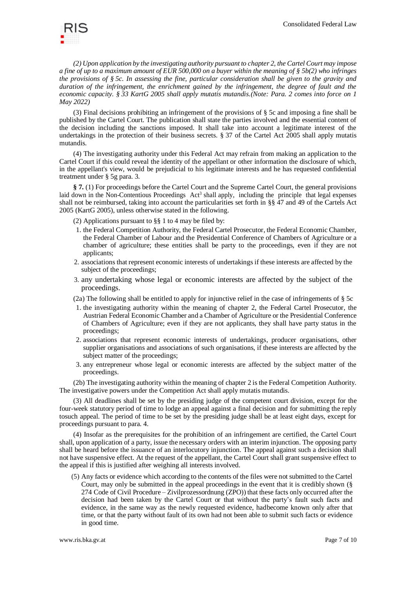

*(2) Upon application by the investigating authority pursuant to chapter 2, the Cartel Court may impose a fine of up to a maximum amount of EUR 500,000 on a buyer within the meaning of § 5b(2) who infringes the provisions of § 5c. In assessing the fine, particular consideration shall be given to the gravity and duration of the infringement, the enrichment gained by the infringement, the degree of fault and the economic capacity. § 33 KartG 2005 shall apply mutatis mutandis.(Note: Para. 2 comes into force on 1 May 2022)*

(3) Final decisions prohibiting an infringement of the provisions of § 5c and imposing a fine shall be published by the Cartel Court. The publication shall state the parties involved and the essential content of the decision including the sanctions imposed. It shall take into account a legitimate interest of the undertakings in the protection of their business secrets. § 37 of the Cartel Act 2005 shall apply mutatis mutandis.

(4) The investigating authority under this Federal Act may refrain from making an application to the Cartel Court if this could reveal the identity of the appellant or other information the disclosure of which, in the appellant's view, would be prejudicial to his legitimate interests and he has requested confidential treatment under § 5g para. 3.

**§ 7.** (1) For proceedings before the Cartel Court and the Supreme Cartel Court, the general provisions laid down in the Non-Contentious Proceedings Act<sup>3</sup> shall apply, including the principle that legal expenses shall not be reimbursed, taking into account the particularities set forth in §§ 47 and 49 of the Cartels Act 2005 (KartG 2005), unless otherwise stated in the following.

(2) Applications pursuant to §§ 1 to 4 may be filed by:

- 1. the Federal Competition Authority, the Federal Cartel Prosecutor, the Federal Economic Chamber, the Federal Chamber of Labour and the Presidential Conference of Chambers of Agriculture or a chamber of agriculture; these entities shall be party to the proceedings, even if they are not applicants;
- 2. associations that represent economic interests of undertakings if these interests are affected by the subject of the proceedings;
- 3. any undertaking whose legal or economic interests are affected by the subject of the proceedings.
- (2a) The following shall be entitled to apply for injunctive relief in the case of infringements of § 5c
- 1. the investigating authority within the meaning of chapter 2, the Federal Cartel Prosecutor, the Austrian Federal Economic Chamber and a Chamber of Agriculture or the Presidential Conference of Chambers of Agriculture; even if they are not applicants, they shall have party status in the proceedings;
- 2. associations that represent economic interests of undertakings, producer organisations, other supplier organisations and associations of such organisations, if these interests are affected by the subject matter of the proceedings;
- 3. any entrepreneur whose legal or economic interests are affected by the subject matter of the proceedings.

(2b) The investigating authority within the meaning of chapter 2 is the Federal Competition Authority. The investigative powers under the Competition Act shall apply mutatis mutandis.

(3) All deadlines shall be set by the presiding judge of the competent court division, except for the four-week statutory period of time to lodge an appeal against a final decision and for submitting the reply tosuch appeal. The period of time to be set by the presiding judge shall be at least eight days, except for proceedings pursuant to para. 4.

(4) Insofar as the prerequisites for the prohibition of an infringement are certified, the Cartel Court shall, upon application of a party, issue the necessary orders with an interim injunction. The opposing party shall be heard before the issuance of an interlocutory injunction. The appeal against such a decision shall not have suspensive effect. At the request of the appellant, the Cartel Court shall grant suspensive effect to the appeal if this is justified after weighing all interests involved.

(5) Any facts or evidence which according to the contents of the files were not submitted to the Cartel Court, may only be submitted in the appeal proceedings in the event that it is credibly shown (§ 274 Code of Civil Procedure – Zivilprozessordnung (ZPO)) that these facts only occurred after the decision had been taken by the Cartel Court or that without the party's fault such facts and evidence, in the same way as the newly requested evidence, hadbecome known only after that time, or that the party without fault of its own had not been able to submit such facts or evidence in good time.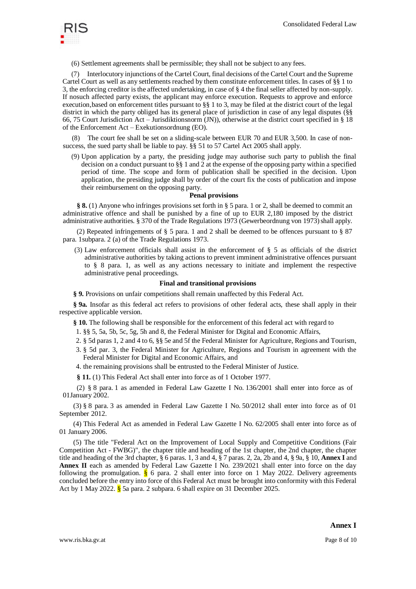

(6) Settlement agreements shall be permissible; they shall not be subject to any fees.

(7) Interlocutory injunctions of the Cartel Court, final decisions of the Cartel Court and the Supreme Cartel Court as well as any settlements reached by them constitute enforcement titles. In cases of §§ 1 to 3, the enforcing creditor is the affected undertaking, in case of § 4 the final seller affected by non-supply. If nosuch affected party exists, the applicant may enforce execution. Requests to approve and enforce execution,based on enforcement titles pursuant to §§ 1 to 3, may be filed at the district court of the legal district in which the party obliged has its general place of jurisdiction in case of any legal disputes (§§ 66, 75 Court Jurisdiction Act – Jurisdiktionsnorm (JN)), otherwise at the district court specified in § 18 of the Enforcement Act – Exekutionsordnung (EO).

The court fee shall be set on a sliding-scale between EUR 70 and EUR 3,500. In case of nonsuccess, the sued party shall be liable to pay. §§ 51 to 57 Cartel Act 2005 shall apply.

(9) Upon application by a party, the presiding judge may authorise such party to publish the final decision on a conduct pursuant to  $\S$ § 1 and 2 at the expense of the opposing party within a specified period of time. The scope and form of publication shall be specified in the decision. Upon application, the presiding judge shall by order of the court fix the costs of publication and impose their reimbursement on the opposing party.

## **Penal provisions**

**§ 8.** (1) Anyone who infringes provisions set forth in § 5 para. 1 or 2, shall be deemed to commit an administrative offence and shall be punished by a fine of up to EUR 2,180 imposed by the district administrative authorities. § 370 of the Trade Regulations 1973 (Gewerbeordnung von 1973) shall apply.

(2) Repeated infringements of  $\S$  5 para. 1 and 2 shall be deemed to be offences pursuant to  $\S$  87 para. 1subpara. 2 (a) of the Trade Regulations 1973.

(3) Law enforcement officials shall assist in the enforcement of § 5 as officials of the district administrative authorities by taking actions to prevent imminent administrative offences pursuant to § 8 para. 1, as well as any actions necessary to initiate and implement the respective administrative penal proceedings.

### **Final and transitional provisions**

**§ 9.** Provisions on unfair competitions shall remain unaffected by this Federal Act.

**§ 9a.** Insofar as this federal act refers to provisions of other federal acts, these shall apply in their respective applicable version.

**§ 10.** The following shall be responsible for the enforcement of this federal act with regard to

- 1. §§ 5, 5a, 5b, 5c, 5g, 5h and 8, the Federal Minister for Digital and Economic Affairs,
- 2. § 5d paras 1, 2 and 4 to 6, §§ 5e and 5f the Federal Minister for Agriculture, Regions and Tourism,
- 3. § 5d par. 3, the Federal Minister for Agriculture, Regions and Tourism in agreement with the Federal Minister for Digital and Economic Affairs, and
- 4. the remaining provisions shall be entrusted to the Federal Minister of Justice.
- **§ 11.** (1) This Federal Act shall enter into force as of 1 October 1977.

(2) § 8 para. 1 as amended in Federal Law Gazette I No. 136/2001 shall enter into force as of 01January 2002.

(3) § 8 para. 3 as amended in Federal Law Gazette I No. 50/2012 shall enter into force as of 01 September 2012.

(4) This Federal Act as amended in Federal Law Gazette I No. 62/2005 shall enter into force as of 01 January 2006.

(5) The title "Federal Act on the Improvement of Local Supply and Competitive Conditions (Fair Competition Act - FWBG)", the chapter title and heading of the 1st chapter, the 2nd chapter, the chapter title and heading of the 3rd chapter, § 6 paras. 1, 3 and 4, § 7 paras. 2, 2a, 2b and 4, § 9a, § 10, **Annex I** and **Annex II** each as amended by Federal Law Gazette I No. 239/2021 shall enter into force on the day following the promulgation.  $\frac{8}{5}$  6 para. 2 shall enter into force on 1 May 2022. Delivery agreements concluded before the entry into force of this Federal Act must be brought into conformity with this Federal Act by 1 May 2022.  $\frac{8}{9}$  5a para. 2 subpara. 6 shall expire on 31 December 2025.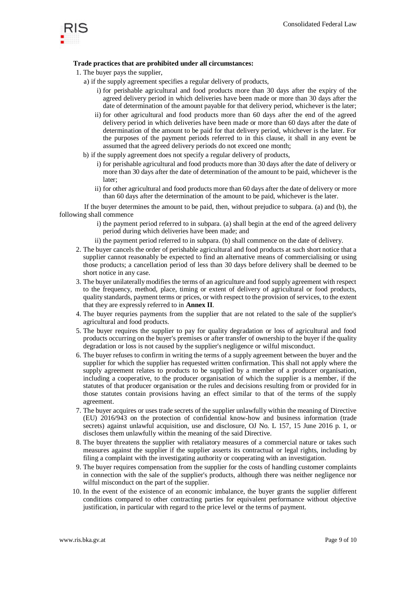

# **Trade practices that are prohibited under all circumstances:**

- 1. The buyer pays the supplier,
	- a) if the supply agreement specifies a regular delivery of products,
		- i) for perishable agricultural and food products more than 30 days after the expiry of the agreed delivery period in which deliveries have been made or more than 30 days after the date of determination of the amount payable for that delivery period, whichever is the later;
		- ii) for other agricultural and food products more than 60 days after the end of the agreed delivery period in which deliveries have been made or more than 60 days after the date of determination of the amount to be paid for that delivery period, whichever is the later. For the purposes of the payment periods referred to in this clause, it shall in any event be assumed that the agreed delivery periods do not exceed one month;
	- b) if the supply agreement does not specify a regular delivery of products,
		- i) for perishable agricultural and food products more than 30 days after the date of delivery or more than 30 days after the date of determination of the amount to be paid, whichever is the later;
		- ii) for other agricultural and food products more than 60 days after the date of delivery or more than 60 days after the determination of the amount to be paid, whichever is the later.

If the buyer determines the amount to be paid, then, without prejudice to subpara. (a) and (b), the following shall commence

- i) the payment period referred to in subpara. (a) shall begin at the end of the agreed delivery period during which deliveries have been made; and
- ii) the payment period referred to in subpara. (b) shall commence on the date of delivery.
- 2. The buyer cancels the order of perishable agricultural and food products at such short notice that a supplier cannot reasonably be expected to find an alternative means of commercialising or using those products; a cancellation period of less than 30 days before delivery shall be deemed to be short notice in any case.
- 3. The buyer unilaterally modifies the terms of an agriculture and food supply agreement with respect to the frequency, method, place, timing or extent of delivery of agricultural or food products, quality standards, payment terms or prices, or with respect to the provision of services, to the extent that they are expressly referred to in **Annex II**.
- 4. The buyer requries payments from the supplier that are not related to the sale of the supplier's agricultural and food products.
- 5. The buyer requires the supplier to pay for quality degradation or loss of agricultural and food products occurring on the buyer's premises or after transfer of ownership to the buyer if the quality degradation or loss is not caused by the supplier's negligence or wilful misconduct.
- 6. The buyer refuses to confirm in writing the terms of a supply agreement between the buyer and the supplier for which the supplier has requested written confirmation. This shall not apply where the supply agreement relates to products to be supplied by a member of a producer organisation, including a cooperative, to the producer organisation of which the supplier is a member, if the statutes of that producer organisation or the rules and decisions resulting from or provided for in those statutes contain provisions having an effect similar to that of the terms of the supply agreement.
- 7. The buyer acquires or uses trade secrets of the supplier unlawfully within the meaning of Directive (EU) 2016/943 on the protection of confidential know-how and business information (trade secrets) against unlawful acquisition, use and disclosure, OJ No. L 157, 15 June 2016 p. 1, or discloses them unlawfully within the meaning of the said Directive.
- 8. The buyer threatens the supplier with retaliatory measures of a commercial nature or takes such measures against the supplier if the supplier asserts its contractual or legal rights, including by filing a complaint with the investigating authority or cooperating with an investigation.
- 9. The buyer requires compensation from the supplier for the costs of handling customer complaints in connection with the sale of the supplier's products, although there was neither negligence nor wilful misconduct on the part of the supplier.
- 10. In the event of the existence of an economic imbalance, the buyer grants the supplier different conditions compared to other contracting parties for equivalent performance without objective justification, in particular with regard to the price level or the terms of payment.